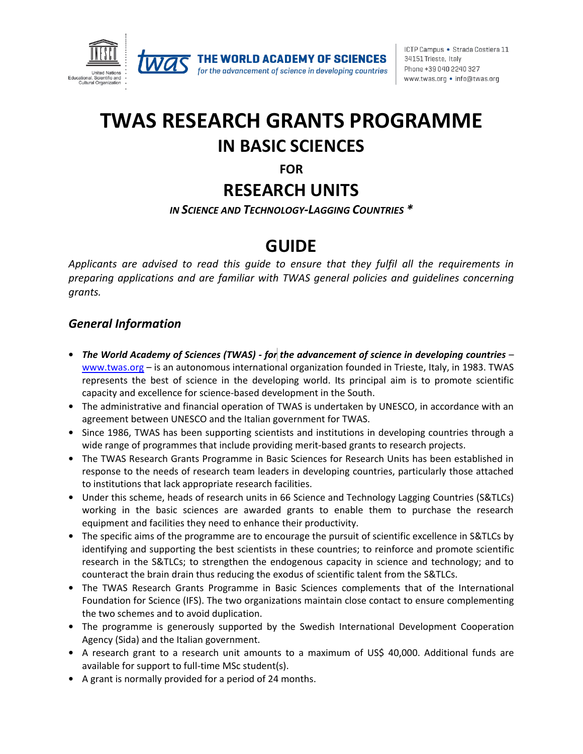



for the advancement of science in developing countries

ICTP Campus · Strada Costiera 11 34151 Trieste, Italy Phone +39 040 2240 327 www.twas.org • info@twas.org

# **TWAS RESEARCH GRANTS PROGRAMME IN BASIC SCIENCES**

**FOR**

## **RESEARCH UNITS**

*IN SCIENCE AND TECHNOLOGY-LAGGING COUNTRIES \**

## **GUIDE**

*Applicants are advised to read this guide to ensure that they fulfil all the requirements in preparing applications and are familiar with TWAS general policies and guidelines concerning grants.*

#### *General Information*

- *The World Academy of Sciences (TWAS) - for the advancement of science in developing countries* [www.twas.org](http://www.twas.org/) – is an autonomous international organization founded in Trieste, Italy, in 1983. TWAS represents the best of science in the developing world. Its principal aim is to promote scientific capacity and excellence for science-based development in the South.
- The administrative and financial operation of TWAS is undertaken by UNESCO, in accordance with an agreement between UNESCO and the Italian government for TWAS.
- Since 1986, TWAS has been supporting scientists and institutions in developing countries through a wide range of programmes that include providing merit-based grants to research projects.
- The TWAS Research Grants Programme in Basic Sciences for Research Units has been established in response to the needs of research team leaders in developing countries, particularly those attached to institutions that lack appropriate research facilities.
- Under this scheme, heads of research units in 66 Science and Technology Lagging Countries (S&TLCs) working in the basic sciences are awarded grants to enable them to purchase the research equipment and facilities they need to enhance their productivity.
- The specific aims of the programme are to encourage the pursuit of scientific excellence in S&TLCs by identifying and supporting the best scientists in these countries; to reinforce and promote scientific research in the S&TLCs; to strengthen the endogenous capacity in science and technology; and to counteract the brain drain thus reducing the exodus of scientific talent from the S&TLCs.
- The TWAS Research Grants Programme in Basic Sciences complements that of the International Foundation for Science (IFS). The two organizations maintain close contact to ensure complementing the two schemes and to avoid duplication.
- The programme is generously supported by the Swedish International Development Cooperation Agency (Sida) and the Italian government.
- A research grant to a research unit amounts to a maximum of US\$ 40,000. Additional funds are available for support to full-time MSc student(s).
- A grant is normally provided for a period of 24 months.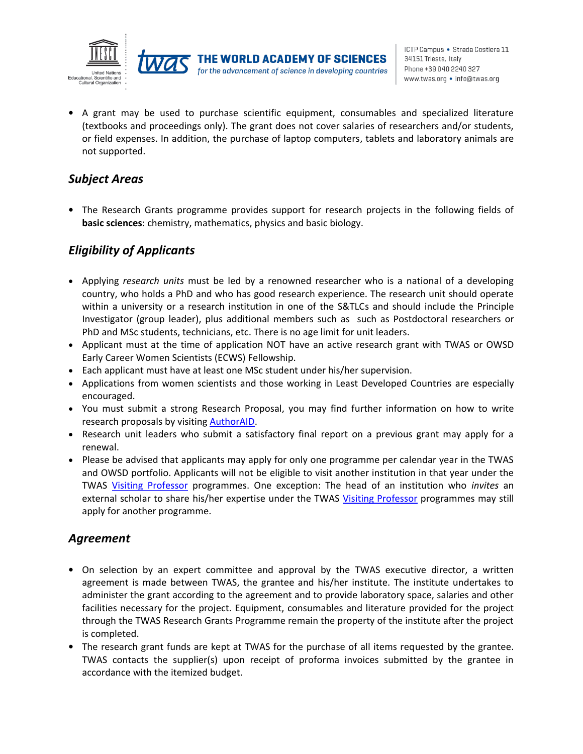



• A grant may be used to purchase scientific equipment, consumables and specialized literature (textbooks and proceedings only). The grant does not cover salaries of researchers and/or students, or field expenses. In addition, the purchase of laptop computers, tablets and laboratory animals are not supported.

#### *Subject Areas*

• The Research Grants programme provides support for research projects in the following fields of **basic sciences**: chemistry, mathematics, physics and basic biology.

### *Eligibility of Applicants*

- Applying *research units* must be led by a renowned researcher who is a national of a developing country, who holds a PhD and who has good research experience. The research unit should operate within a university or a research institution in one of the S&TLCs and should include the Principle Investigator (group leader), plus additional members such as such as Postdoctoral researchers or PhD and MSc students, technicians, etc. There is no age limit for unit leaders.
- Applicant must at the time of application NOT have an active research grant with TWAS or OWSD Early Career Women Scientists (ECWS) Fellowship.
- Each applicant must have at least one MSc student under his/her supervision.
- Applications from women scientists and those working in Least Developed Countries are especially encouraged.
- You must submit a strong Research Proposal, you may find further information on how to write research proposals by visiting [AuthorAID.](https://www.authoraid.info/en/resources/?topic=Grant+proposal+writing&language=English)
- Research unit leaders who submit a satisfactory final report on a previous grant may apply for a renewal.
- Please be advised that applicants may apply for only one programme per calendar year in the TWAS and OWSD portfolio. Applicants will not be eligible to visit another institution in that year under the TWAS [Visiting Professor](https://twas.org/opportunities/visiting-scientist/professors) programmes. One exception: The head of an institution who *invites* an external scholar to share his/her expertise under the TWAS [Visiting Professor](https://twas.org/opportunities/visiting-scientist/professors) programmes may still apply for another programme.

#### *Agreement*

- On selection by an expert committee and approval by the TWAS executive director, a written agreement is made between TWAS, the grantee and his/her institute. The institute undertakes to administer the grant according to the agreement and to provide laboratory space, salaries and other facilities necessary for the project. Equipment, consumables and literature provided for the project through the TWAS Research Grants Programme remain the property of the institute after the project is completed.
- The research grant funds are kept at TWAS for the purchase of all items requested by the grantee. TWAS contacts the supplier(s) upon receipt of proforma invoices submitted by the grantee in accordance with the itemized budget.